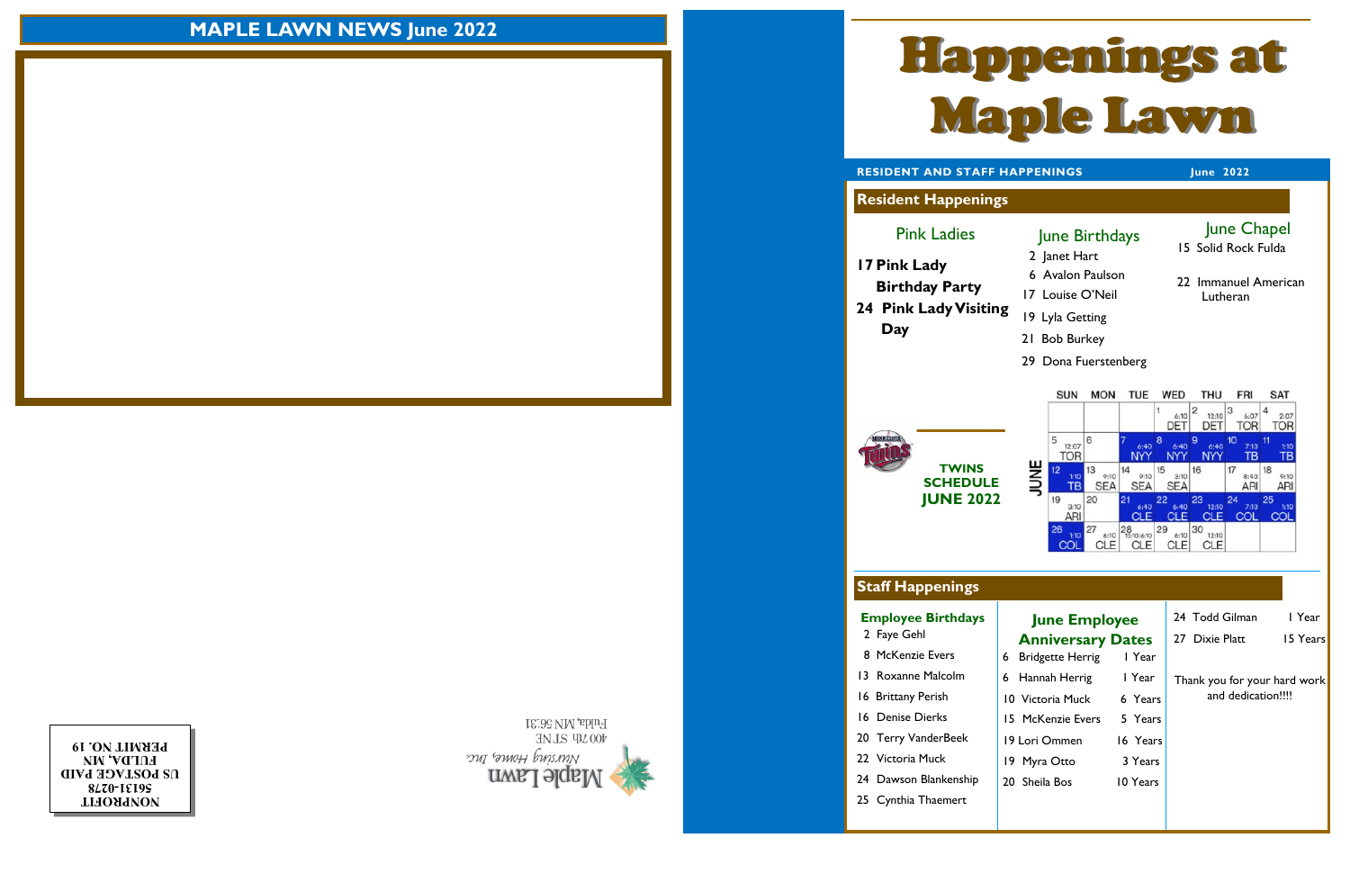**NONPROFIT 0278 - 56131 US POSTAGE PAID FULDA, MN PERMIT NO. 19**



Pink Ladies

**Resident Happenings**

## **Staff Happenings**

- 2 Janet Hart
- 6 Avalon Paulson
- 17 Louise O'Neil



**RESIDENT AND STAFF HAPPENINGS** June 2022

# **MAPLE LAWN NEWS June 2022**

### June Birthdays

- 19 Lyla Getting
	- 21 Bob Burkey
	- 29 Dona Fuerstenberg



**Employee Birthdays**  2 Faye Gehl

- 
- 8 McKenzie Evers
- 13 Roxanne Malcolm
- 16 Brittany Perish
- 16 Denise Dierks
- 20 Terry VanderBeek
- 22 Victoria Muck
- 24 Dawson Blankenship
- 25 Cynthia Thaemert

#### **June Employee Anniversary Dates** 6 Bridgette Herrig 1 Year

| 6 Bridgette Herrig | I Year   |
|--------------------|----------|
| 6 Hannah Herrig    | l Year   |
| 10 Victoria Muck   | 6 Years  |
| 15 McKenzie Evers  | 5 Years  |
| 19 Lori Ommen      | 16 Years |
| 19 Myra Otto       | 3 Years  |
| 20 Sheila Bos      | 10 Years |
|                    |          |

- 24 Todd Gilman 1 Year
- 27 Dixie Platt 15 Years
- -

## June Chapel

15 Solid Rock Fulda

22Immanuel American Lutheran

**TWINS SCHEDULE JUNE 2022**

> Thank you for your hard work and dedication!!!!

**17 Pink Lady Birthday Party 24 Pink Lady Visiting Day** 

![](_page_0_Picture_6.jpeg)